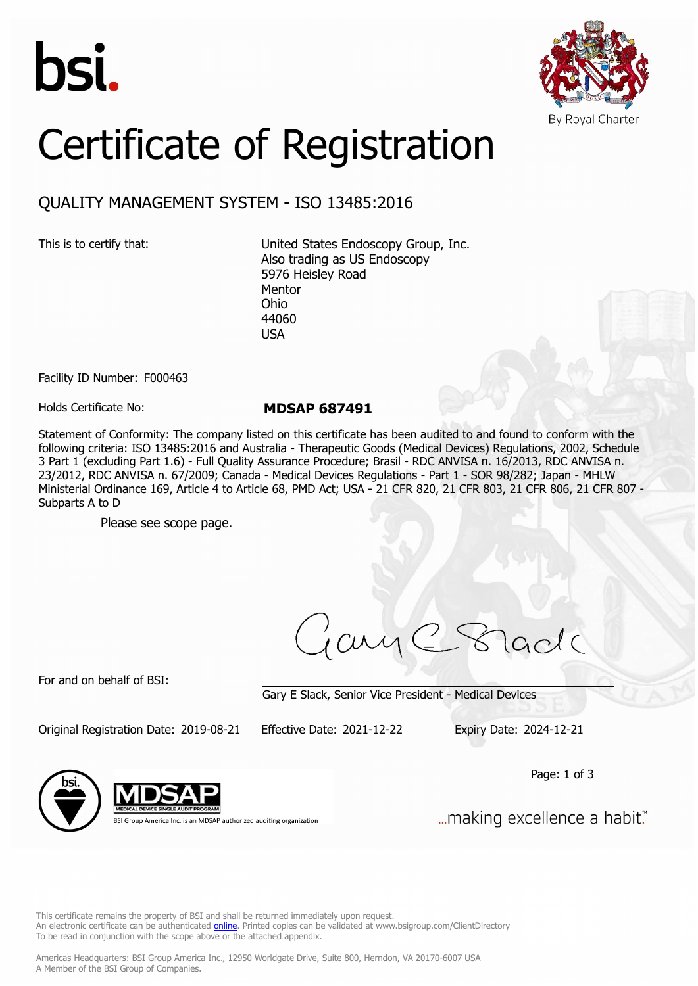



## Certificate of Registration

## QUALITY MANAGEMENT SYSTEM - ISO 13485:2016

This is to certify that: United States Endoscopy Group, Inc. Also trading as US Endoscopy 5976 Heisley Road Mentor Ohio 44060 USA

Facility ID Number: F000463

Holds Certificate No: **MDSAP 687491**

Statement of Conformity: The company listed on this certificate has been audited to and found to conform with the following criteria: ISO 13485:2016 and Australia - Therapeutic Goods (Medical Devices) Regulations, 2002, Schedule 3 Part 1 (excluding Part 1.6) - Full Quality Assurance Procedure; Brasil - RDC ANVISA n. 16/2013, RDC ANVISA n. 23/2012, RDC ANVISA n. 67/2009; Canada - Medical Devices Regulations - Part 1 - SOR 98/282; Japan - MHLW Ministerial Ordinance 169, Article 4 to Article 68, PMD Act; USA - 21 CFR 820, 21 CFR 803, 21 CFR 806, 21 CFR 807 - Subparts A to D

Please see scope page.

ciry

For and on behalf of BSI:

Gary E Slack, Senior Vice President - Medical Devices

Original Registration Date: 2019-08-21 Effective Date: 2021-12-22 Expiry Date: 2024-12-21

Page: 1 of 3



BSI Group America Inc. is an MDSAP authorized auditing organization

... making excellence a habit."

This certificate remains the property of BSI and shall be returned immediately upon request. An electronic certificate can be authenticated *[online](https://pgplus.bsigroup.com/CertificateValidation/CertificateValidator.aspx?CertificateNumber=MDSAP+687491&ReIssueDate=22%2f12%2f2021&Template=inc)*. Printed copies can be validated at www.bsigroup.com/ClientDirectory To be read in conjunction with the scope above or the attached appendix.

Americas Headquarters: BSI Group America Inc., 12950 Worldgate Drive, Suite 800, Herndon, VA 20170-6007 USA A Member of the BSI Group of Companies.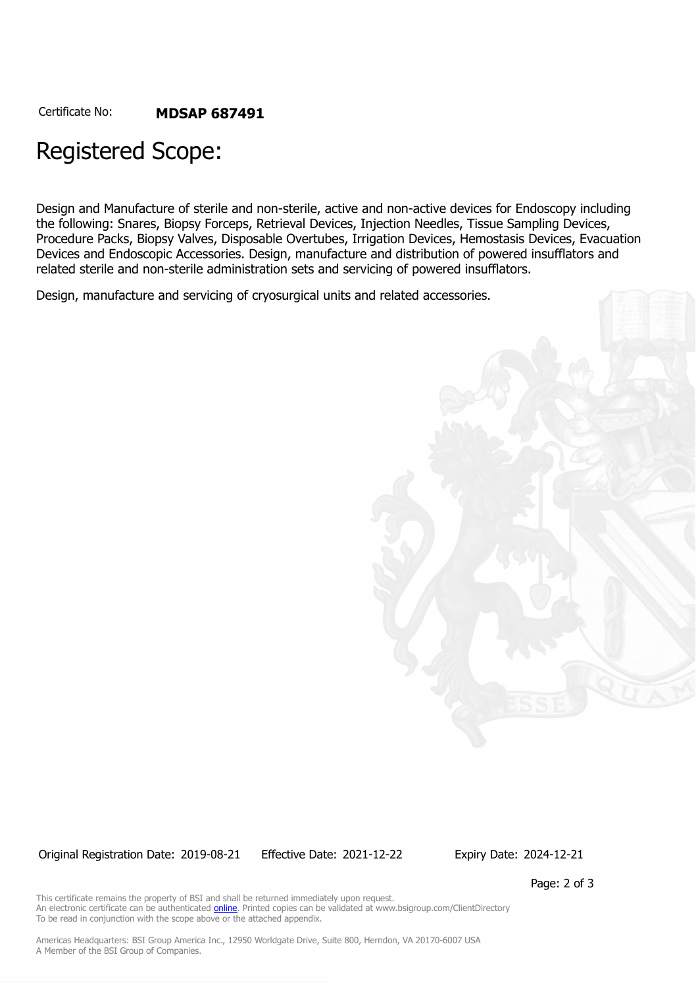## Registered Scope:

Design and Manufacture of sterile and non-sterile, active and non-active devices for Endoscopy including the following: Snares, Biopsy Forceps, Retrieval Devices, Injection Needles, Tissue Sampling Devices, Procedure Packs, Biopsy Valves, Disposable Overtubes, Irrigation Devices, Hemostasis Devices, Evacuation Devices and Endoscopic Accessories. Design, manufacture and distribution of powered insufflators and related sterile and non-sterile administration sets and servicing of powered insufflators.

Design, manufacture and servicing of cryosurgical units and related accessories.

Original Registration Date: 2019-08-21 Effective Date: 2021-12-22 Expiry Date: 2024-12-21

Page: 2 of 3

This certificate remains the property of BSI and shall be returned immediately upon request. An electronic certificate can be authenticated **[online](https://pgplus.bsigroup.com/CertificateValidation/CertificateValidator.aspx?CertificateNumber=MDSAP+687491&ReIssueDate=22%2f12%2f2021&Template=inc)**. Printed copies can be validated at www.bsigroup.com/ClientDirectory To be read in conjunction with the scope above or the attached appendix.

Americas Headquarters: BSI Group America Inc., 12950 Worldgate Drive, Suite 800, Herndon, VA 20170-6007 USA A Member of the BSI Group of Companies.